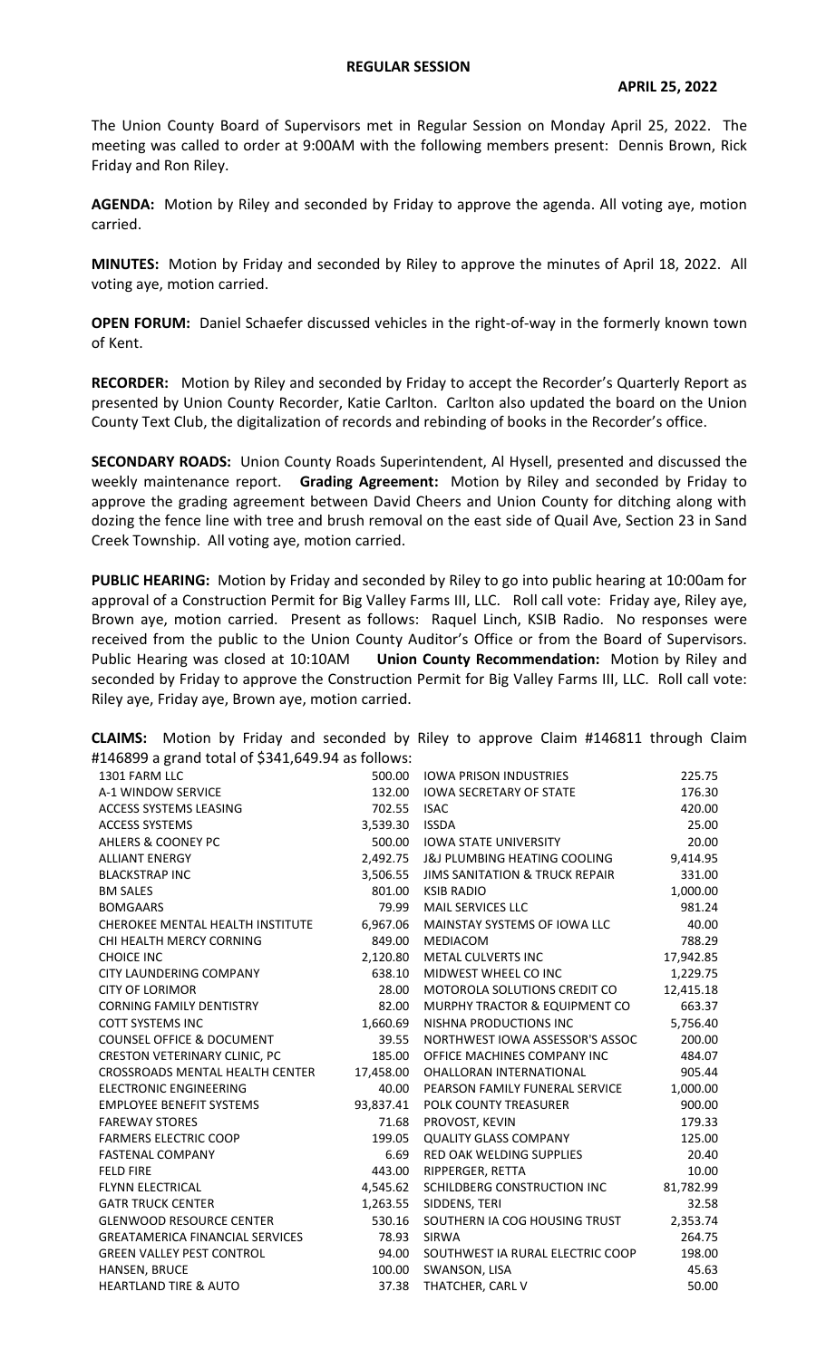## **REGULAR SESSION**

The Union County Board of Supervisors met in Regular Session on Monday April 25, 2022. The meeting was called to order at 9:00AM with the following members present: Dennis Brown, Rick Friday and Ron Riley.

**AGENDA:** Motion by Riley and seconded by Friday to approve the agenda. All voting aye, motion carried.

**MINUTES:** Motion by Friday and seconded by Riley to approve the minutes of April 18, 2022. All voting aye, motion carried.

**OPEN FORUM:** Daniel Schaefer discussed vehicles in the right-of-way in the formerly known town of Kent.

**RECORDER:** Motion by Riley and seconded by Friday to accept the Recorder's Quarterly Report as presented by Union County Recorder, Katie Carlton. Carlton also updated the board on the Union County Text Club, the digitalization of records and rebinding of books in the Recorder's office.

**SECONDARY ROADS:** Union County Roads Superintendent, Al Hysell, presented and discussed the weekly maintenance report. **Grading Agreement:** Motion by Riley and seconded by Friday to approve the grading agreement between David Cheers and Union County for ditching along with dozing the fence line with tree and brush removal on the east side of Quail Ave, Section 23 in Sand Creek Township. All voting aye, motion carried.

**PUBLIC HEARING:** Motion by Friday and seconded by Riley to go into public hearing at 10:00am for approval of a Construction Permit for Big Valley Farms III, LLC. Roll call vote: Friday aye, Riley aye, Brown aye, motion carried. Present as follows: Raquel Linch, KSIB Radio. No responses were received from the public to the Union County Auditor's Office or from the Board of Supervisors. Public Hearing was closed at 10:10AM **Union County Recommendation:** Motion by Riley and seconded by Friday to approve the Construction Permit for Big Valley Farms III, LLC. Roll call vote: Riley aye, Friday aye, Brown aye, motion carried.

**CLAIMS:** Motion by Friday and seconded by Riley to approve Claim #146811 through Claim #146899 a grand total of \$341,649.94 as follows:

| $\frac{1}{2}$ u gianu total ol 9541,045.54 as iollows. |           |                                         |           |
|--------------------------------------------------------|-----------|-----------------------------------------|-----------|
| 1301 FARM LLC                                          | 500.00    | <b>IOWA PRISON INDUSTRIES</b>           | 225.75    |
| A-1 WINDOW SERVICE                                     | 132.00    | <b>IOWA SECRETARY OF STATE</b>          | 176.30    |
| <b>ACCESS SYSTEMS LEASING</b>                          | 702.55    | <b>ISAC</b>                             | 420.00    |
| <b>ACCESS SYSTEMS</b>                                  | 3,539.30  | <b>ISSDA</b>                            | 25.00     |
| <b>AHLERS &amp; COONEY PC</b>                          | 500.00    | <b>IOWA STATE UNIVERSITY</b>            | 20.00     |
| <b>ALLIANT ENERGY</b>                                  | 2,492.75  | <b>J&amp;J PLUMBING HEATING COOLING</b> | 9,414.95  |
| <b>BLACKSTRAP INC</b>                                  | 3,506.55  | JIMS SANITATION & TRUCK REPAIR          | 331.00    |
| <b>BM SALES</b>                                        | 801.00    | <b>KSIB RADIO</b>                       | 1,000.00  |
| <b>BOMGAARS</b>                                        | 79.99     | MAIL SERVICES LLC                       | 981.24    |
| CHEROKEE MENTAL HEALTH INSTITUTE                       | 6,967.06  | MAINSTAY SYSTEMS OF IOWA LLC            | 40.00     |
| CHI HEALTH MERCY CORNING                               | 849.00    | MEDIACOM                                | 788.29    |
| <b>CHOICE INC</b>                                      | 2,120.80  | METAL CULVERTS INC                      | 17,942.85 |
| CITY LAUNDERING COMPANY                                | 638.10    | MIDWEST WHEEL CO INC                    | 1,229.75  |
| <b>CITY OF LORIMOR</b>                                 | 28.00     | <b>MOTOROLA SOLUTIONS CREDIT CO</b>     | 12,415.18 |
| <b>CORNING FAMILY DENTISTRY</b>                        | 82.00     | MURPHY TRACTOR & EQUIPMENT CO           | 663.37    |
| <b>COTT SYSTEMS INC</b>                                | 1,660.69  | NISHNA PRODUCTIONS INC                  | 5,756.40  |
| <b>COUNSEL OFFICE &amp; DOCUMENT</b>                   | 39.55     | NORTHWEST IOWA ASSESSOR'S ASSOC         | 200.00    |
| <b>CRESTON VETERINARY CLINIC, PC</b>                   | 185.00    | OFFICE MACHINES COMPANY INC             | 484.07    |
| CROSSROADS MENTAL HEALTH CENTER                        | 17,458.00 | OHALLORAN INTERNATIONAL                 | 905.44    |
| <b>ELECTRONIC ENGINEERING</b>                          | 40.00     | PEARSON FAMILY FUNERAL SERVICE          | 1,000.00  |
| <b>EMPLOYEE BENEFIT SYSTEMS</b>                        | 93,837.41 | <b>POLK COUNTY TREASURER</b>            | 900.00    |
| <b>FAREWAY STORES</b>                                  | 71.68     | PROVOST, KEVIN                          | 179.33    |
| <b>FARMERS ELECTRIC COOP</b>                           | 199.05    | <b>QUALITY GLASS COMPANY</b>            | 125.00    |
| <b>FASTENAL COMPANY</b>                                | 6.69      | <b>RED OAK WELDING SUPPLIES</b>         | 20.40     |
| <b>FELD FIRE</b>                                       | 443.00    | RIPPERGER, RETTA                        | 10.00     |
| <b>FLYNN ELECTRICAL</b>                                | 4,545.62  | SCHILDBERG CONSTRUCTION INC             | 81,782.99 |
| <b>GATR TRUCK CENTER</b>                               | 1,263.55  | SIDDENS, TERI                           | 32.58     |
| <b>GLENWOOD RESOURCE CENTER</b>                        | 530.16    | SOUTHERN IA COG HOUSING TRUST           | 2,353.74  |
| <b>GREATAMERICA FINANCIAL SERVICES</b>                 | 78.93     | <b>SIRWA</b>                            | 264.75    |
| <b>GREEN VALLEY PEST CONTROL</b>                       | 94.00     | SOUTHWEST IA RURAL ELECTRIC COOP        | 198.00    |
| HANSEN, BRUCE                                          | 100.00    | SWANSON, LISA                           | 45.63     |
| <b>HEARTLAND TIRE &amp; AUTO</b>                       | 37.38     | THATCHER, CARL V                        | 50.00     |
|                                                        |           |                                         |           |